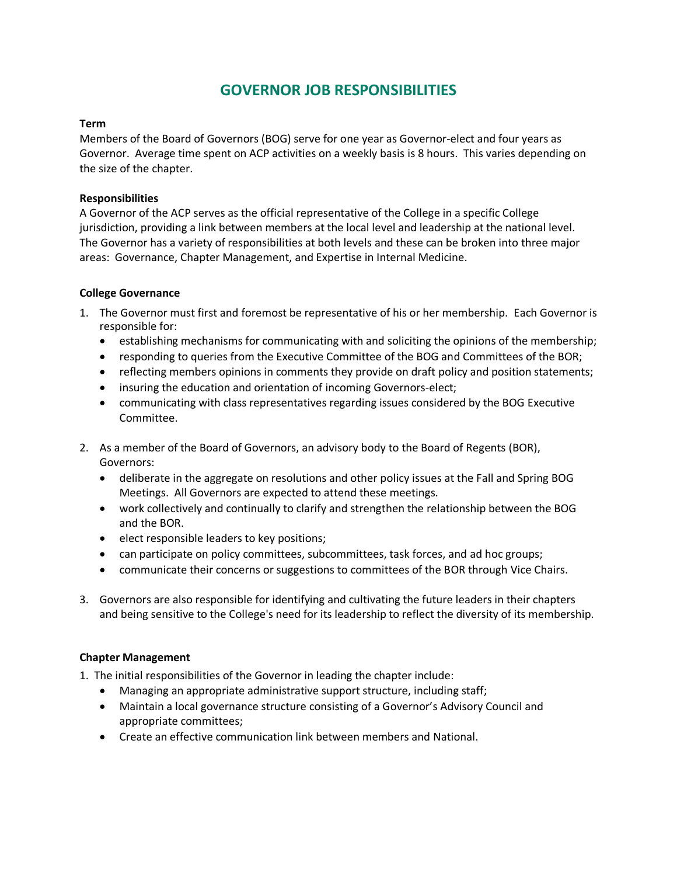# **GOVERNOR JOB RESPONSIBILITIES**

#### **Term**

Members of the Board of Governors (BOG) serve for one year as Governor-elect and four years as Governor. Average time spent on ACP activities on a weekly basis is 8 hours. This varies depending on the size of the chapter.

#### **Responsibilities**

A Governor of the ACP serves as the official representative of the College in a specific College jurisdiction, providing a link between members at the local level and leadership at the national level. The Governor has a variety of responsibilities at both levels and these can be broken into three major areas: Governance, Chapter Management, and Expertise in Internal Medicine.

#### **College Governance**

- 1. The Governor must first and foremost be representative of his or her membership. Each Governor is responsible for:
	- establishing mechanisms for communicating with and soliciting the opinions of the membership;
	- responding to queries from the Executive Committee of the BOG and Committees of the BOR;
	- reflecting members opinions in comments they provide on draft policy and position statements;
	- insuring the education and orientation of incoming Governors-elect;
	- communicating with class representatives regarding issues considered by the BOG Executive Committee.
- 2. As a member of the Board of Governors, an advisory body to the Board of Regents (BOR), Governors:
	- deliberate in the aggregate on resolutions and other policy issues at the Fall and Spring BOG Meetings. All Governors are expected to attend these meetings.
	- work collectively and continually to clarify and strengthen the relationship between the BOG and the BOR.
	- elect responsible leaders to key positions;
	- can participate on policy committees, subcommittees, task forces, and ad hoc groups;
	- communicate their concerns or suggestions to committees of the BOR through Vice Chairs.
- 3. Governors are also responsible for identifying and cultivating the future leaders in their chapters and being sensitive to the College's need for its leadership to reflect the diversity of its membership.

## **Chapter Management**

- 1. The initial responsibilities of the Governor in leading the chapter include:
	- Managing an appropriate administrative support structure, including staff;
	- Maintain a local governance structure consisting of a Governor's Advisory Council and appropriate committees;
	- Create an effective communication link between members and National.